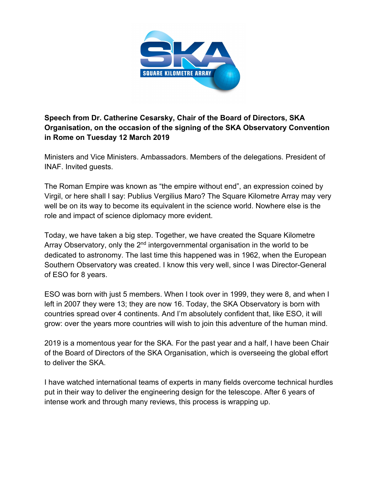

**Speech from Dr. Catherine Cesarsky, Chair of the Board of Directors, SKA Organisation, on the occasion of the signing of the SKA Observatory Convention in Rome on Tuesday 12 March 2019**

Ministers and Vice Ministers. Ambassadors. Members of the delegations. President of INAF. Invited guests.

The Roman Empire was known as "the empire without end", an expression coined by Virgil, or here shall I say: Publius Vergilius Maro? The Square Kilometre Array may very well be on its way to become its equivalent in the science world. Nowhere else is the role and impact of science diplomacy more evident.

Today, we have taken a big step. Together, we have created the Square Kilometre Array Observatory, only the  $2<sup>nd</sup>$  intergovernmental organisation in the world to be dedicated to astronomy. The last time this happened was in 1962, when the European Southern Observatory was created. I know this very well, since I was Director-General of ESO for 8 years.

ESO was born with just 5 members. When I took over in 1999, they were 8, and when I left in 2007 they were 13; they are now 16. Today, the SKA Observatory is born with countries spread over 4 continents. And I'm absolutely confident that, like ESO, it will grow: over the years more countries will wish to join this adventure of the human mind.

2019 is a momentous year for the SKA. For the past year and a half, I have been Chair of the Board of Directors of the SKA Organisation, which is overseeing the global effort to deliver the SKA.

I have watched international teams of experts in many fields overcome technical hurdles put in their way to deliver the engineering design for the telescope. After 6 years of intense work and through many reviews, this process is wrapping up.